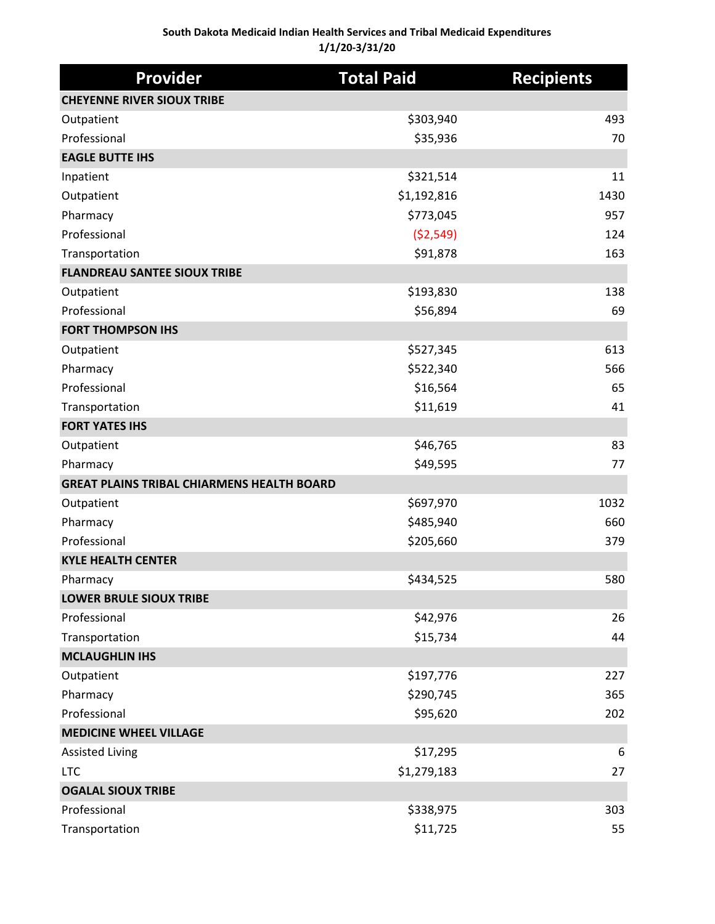#### **South Dakota Medicaid Indian Health Services and Tribal Medicaid Expenditures 1/1/20-3/31/20**

| <b>Provider</b>                                   | <b>Total Paid</b> | <b>Recipients</b> |
|---------------------------------------------------|-------------------|-------------------|
| <b>CHEYENNE RIVER SIOUX TRIBE</b>                 |                   |                   |
| Outpatient                                        | \$303,940         | 493               |
| Professional                                      | \$35,936          | 70                |
| <b>EAGLE BUTTE IHS</b>                            |                   |                   |
| Inpatient                                         | \$321,514         | 11                |
| Outpatient                                        | \$1,192,816       | 1430              |
| Pharmacy                                          | \$773,045         | 957               |
| Professional                                      | (52, 549)         | 124               |
| Transportation                                    | \$91,878          | 163               |
| <b>FLANDREAU SANTEE SIOUX TRIBE</b>               |                   |                   |
| Outpatient                                        | \$193,830         | 138               |
| Professional                                      | \$56,894          | 69                |
| <b>FORT THOMPSON IHS</b>                          |                   |                   |
| Outpatient                                        | \$527,345         | 613               |
| Pharmacy                                          | \$522,340         | 566               |
| Professional                                      | \$16,564          | 65                |
| Transportation                                    | \$11,619          | 41                |
| <b>FORT YATES IHS</b>                             |                   |                   |
| Outpatient                                        | \$46,765          | 83                |
| Pharmacy                                          | \$49,595          | 77                |
| <b>GREAT PLAINS TRIBAL CHIARMENS HEALTH BOARD</b> |                   |                   |
| Outpatient                                        | \$697,970         | 1032              |
| Pharmacy                                          | \$485,940         | 660               |
| Professional                                      | \$205,660         | 379               |
| <b>KYLE HEALTH CENTER</b>                         |                   |                   |
| Pharmacy                                          | \$434,525         | 580               |
| <b>LOWER BRULE SIOUX TRIBE</b>                    |                   |                   |
| Professional                                      | \$42,976          | 26                |
| Transportation                                    | \$15,734          | 44                |
| <b>MCLAUGHLIN IHS</b>                             |                   |                   |
| Outpatient                                        | \$197,776         | 227               |
| Pharmacy                                          | \$290,745         | 365               |
| Professional                                      | \$95,620          | 202               |
| <b>MEDICINE WHEEL VILLAGE</b>                     |                   |                   |
| <b>Assisted Living</b>                            | \$17,295          | 6                 |
| <b>LTC</b>                                        | \$1,279,183       | 27                |
| <b>OGALAL SIOUX TRIBE</b>                         |                   |                   |
| Professional                                      | \$338,975         | 303               |
| Transportation                                    | \$11,725          | 55                |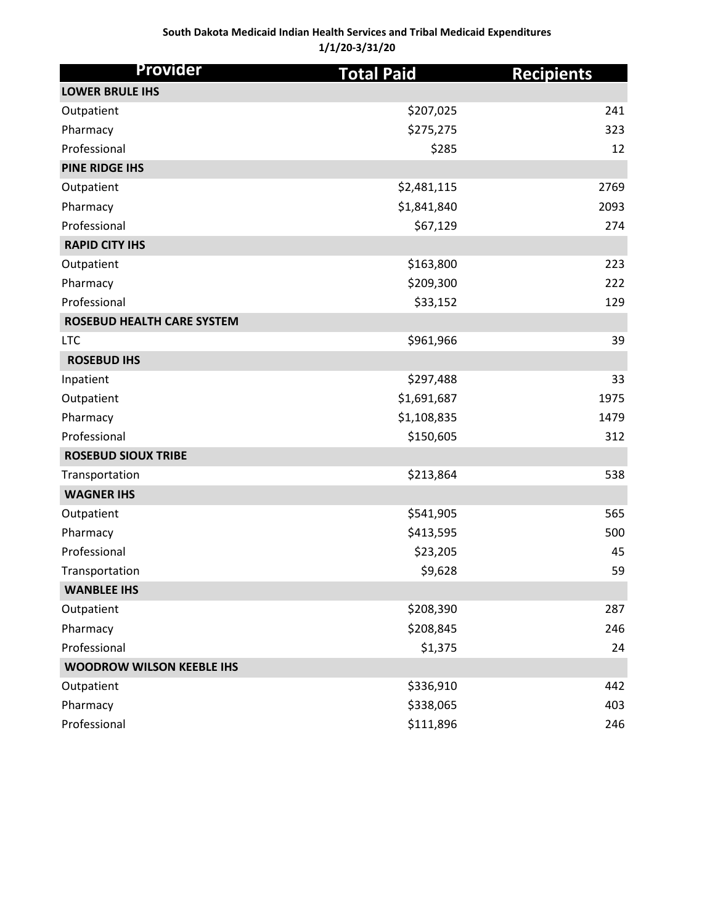#### **South Dakota Medicaid Indian Health Services and Tribal Medicaid Expenditures 1/1/20-3/31/20**

| Provider                          | <b>Total Paid</b> | <b>Recipients</b> |
|-----------------------------------|-------------------|-------------------|
| <b>LOWER BRULE IHS</b>            |                   |                   |
| Outpatient                        | \$207,025         | 241               |
| Pharmacy                          | \$275,275         | 323               |
| Professional                      | \$285             | 12                |
| <b>PINE RIDGE IHS</b>             |                   |                   |
| Outpatient                        | \$2,481,115       | 2769              |
| Pharmacy                          | \$1,841,840       | 2093              |
| Professional                      | \$67,129          | 274               |
| <b>RAPID CITY IHS</b>             |                   |                   |
| Outpatient                        | \$163,800         | 223               |
| Pharmacy                          | \$209,300         | 222               |
| Professional                      | \$33,152          | 129               |
| <b>ROSEBUD HEALTH CARE SYSTEM</b> |                   |                   |
| <b>LTC</b>                        | \$961,966         | 39                |
| <b>ROSEBUD IHS</b>                |                   |                   |
| Inpatient                         | \$297,488         | 33                |
| Outpatient                        | \$1,691,687       | 1975              |
| Pharmacy                          | \$1,108,835       | 1479              |
| Professional                      | \$150,605         | 312               |
| <b>ROSEBUD SIOUX TRIBE</b>        |                   |                   |
| Transportation                    | \$213,864         | 538               |
| <b>WAGNER IHS</b>                 |                   |                   |
| Outpatient                        | \$541,905         | 565               |
| Pharmacy                          | \$413,595         | 500               |
| Professional                      | \$23,205          | 45                |
| Transportation                    | \$9,628           | 59                |
| <b>WANBLEE IHS</b>                |                   |                   |
| Outpatient                        | \$208,390         | 287               |
| Pharmacy                          | \$208,845         | 246               |
| Professional                      | \$1,375           | 24                |
| <b>WOODROW WILSON KEEBLE IHS</b>  |                   |                   |
| Outpatient                        | \$336,910         | 442               |
| Pharmacy                          | \$338,065         | 403               |
| Professional                      | \$111,896         | 246               |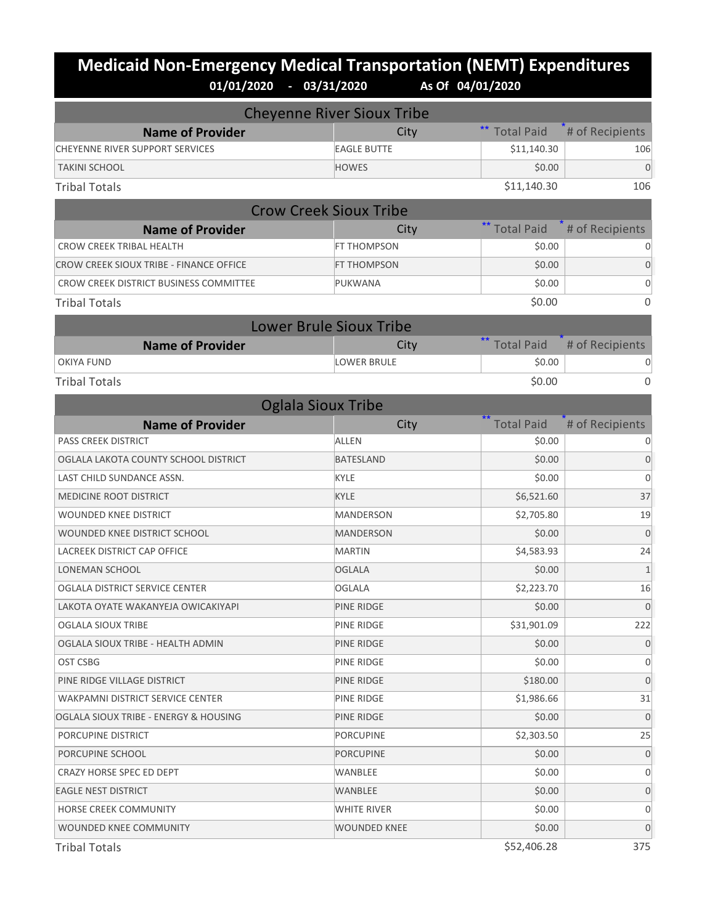# **Medicaid Non-Emergency Medical Transportation (NEMT) Expenditures 01/01/2020 - 03/31/2020 As Of 04/01/2020**

| <b>Total Paid</b><br># of Recipients<br><b>Name of Provider</b><br>City<br><b>EAGLE BUTTE</b><br><b>CHEYENNE RIVER SUPPORT SERVICES</b><br>\$11,140.30<br>106<br>$\Omega$<br>\$0.00<br><b>TAKINI SCHOOL</b><br><b>HOWES</b><br>106<br><b>Tribal Totals</b><br>\$11,140.30<br><b>Crow Creek Sioux Tribe</b><br>** Total Paid<br># of Recipients<br><b>Name of Provider</b><br>City<br><b>CROW CREEK TRIBAL HEALTH</b><br>FT THOMPSON<br>\$0.00<br>\$0.00<br>0<br>CROW CREEK SIOUX TRIBE - FINANCE OFFICE<br>FT THOMPSON<br>0<br>CROW CREEK DISTRICT BUSINESS COMMITTEE<br>\$0.00<br>PUKWANA<br>\$0.00<br>0<br><b>Tribal Totals</b><br><b>Lower Brule Sioux Tribe</b><br>$***$<br><b>Total Paid</b><br># of Recipients<br><b>Name of Provider</b><br>City<br><b>LOWER BRULE</b><br>\$0.00<br><b>OKIYA FUND</b><br>0<br>$\Omega$<br>\$0.00<br><b>Tribal Totals</b><br><b>Oglala Sioux Tribe</b><br># of Recipients<br><b>Name of Provider</b><br><b>Total Paid</b><br>City<br><b>ALLEN</b><br><b>PASS CREEK DISTRICT</b><br>\$0.00<br>0<br>\$0.00<br>0<br>OGLALA LAKOTA COUNTY SCHOOL DISTRICT<br><b>BATESLAND</b><br>LAST CHILD SUNDANCE ASSN.<br>\$0.00<br>0<br>KYLE<br>\$6,521.60<br>37<br><b>KYLE</b><br>MEDICINE ROOT DISTRICT<br>\$2,705.80<br>19<br><b>WOUNDED KNEE DISTRICT</b><br><b>MANDERSON</b><br>$\Omega$<br>WOUNDED KNEE DISTRICT SCHOOL<br>\$0.00<br><b>MANDERSON</b><br>\$4,583.93<br>LACREEK DISTRICT CAP OFFICE<br><b>MARTIN</b><br>24<br>\$0.00<br>$\mathbf{1}$<br>LONEMAN SCHOOL<br><b>OGLALA</b><br>16<br>\$2,223.70<br>OGLALA DISTRICT SERVICE CENTER<br><b>OGLALA</b><br>$\mathbf 0$<br>LAKOTA OYATE WAKANYEJA OWICAKIYAPI<br>\$0.00<br>PINE RIDGE<br>OGLALA SIOUX TRIBE<br>PINE RIDGE<br>\$31,901.09<br>222<br>0<br>\$0.00<br>OGLALA SIOUX TRIBE - HEALTH ADMIN<br>PINE RIDGE<br>OST CSBG<br>PINE RIDGE<br>\$0.00<br>0<br>PINE RIDGE VILLAGE DISTRICT<br>\$180.00<br>$\mathbf 0$<br>PINE RIDGE<br>WAKPAMNI DISTRICT SERVICE CENTER<br>\$1,986.66<br>31<br>PINE RIDGE<br>\$0.00<br>0<br>OGLALA SIOUX TRIBE - ENERGY & HOUSING<br>PINE RIDGE<br>PORCUPINE DISTRICT<br><b>PORCUPINE</b><br>\$2,303.50<br>25<br>PORCUPINE SCHOOL<br>\$0.00<br>0<br><b>PORCUPINE</b><br>\$0.00<br>0<br>CRAZY HORSE SPEC ED DEPT<br>WANBLEE<br>0<br>\$0.00<br><b>EAGLE NEST DISTRICT</b><br>WANBLEE<br>\$0.00<br>HORSE CREEK COMMUNITY<br><b>WHITE RIVER</b><br>0<br>\$0.00<br>WOUNDED KNEE COMMUNITY<br><b>WOUNDED KNEE</b><br>0 | <b>Cheyenne River Sioux Tribe</b> |  |
|-----------------------------------------------------------------------------------------------------------------------------------------------------------------------------------------------------------------------------------------------------------------------------------------------------------------------------------------------------------------------------------------------------------------------------------------------------------------------------------------------------------------------------------------------------------------------------------------------------------------------------------------------------------------------------------------------------------------------------------------------------------------------------------------------------------------------------------------------------------------------------------------------------------------------------------------------------------------------------------------------------------------------------------------------------------------------------------------------------------------------------------------------------------------------------------------------------------------------------------------------------------------------------------------------------------------------------------------------------------------------------------------------------------------------------------------------------------------------------------------------------------------------------------------------------------------------------------------------------------------------------------------------------------------------------------------------------------------------------------------------------------------------------------------------------------------------------------------------------------------------------------------------------------------------------------------------------------------------------------------------------------------------------------------------------------------------------------------------------------------------------------------------------------------------------------------------------------------------------------------------------------------------------------------------------------------------------------------------------------------------------------------------------------------------------------|-----------------------------------|--|
|                                                                                                                                                                                                                                                                                                                                                                                                                                                                                                                                                                                                                                                                                                                                                                                                                                                                                                                                                                                                                                                                                                                                                                                                                                                                                                                                                                                                                                                                                                                                                                                                                                                                                                                                                                                                                                                                                                                                                                                                                                                                                                                                                                                                                                                                                                                                                                                                                                   |                                   |  |
|                                                                                                                                                                                                                                                                                                                                                                                                                                                                                                                                                                                                                                                                                                                                                                                                                                                                                                                                                                                                                                                                                                                                                                                                                                                                                                                                                                                                                                                                                                                                                                                                                                                                                                                                                                                                                                                                                                                                                                                                                                                                                                                                                                                                                                                                                                                                                                                                                                   |                                   |  |
|                                                                                                                                                                                                                                                                                                                                                                                                                                                                                                                                                                                                                                                                                                                                                                                                                                                                                                                                                                                                                                                                                                                                                                                                                                                                                                                                                                                                                                                                                                                                                                                                                                                                                                                                                                                                                                                                                                                                                                                                                                                                                                                                                                                                                                                                                                                                                                                                                                   |                                   |  |
|                                                                                                                                                                                                                                                                                                                                                                                                                                                                                                                                                                                                                                                                                                                                                                                                                                                                                                                                                                                                                                                                                                                                                                                                                                                                                                                                                                                                                                                                                                                                                                                                                                                                                                                                                                                                                                                                                                                                                                                                                                                                                                                                                                                                                                                                                                                                                                                                                                   |                                   |  |
|                                                                                                                                                                                                                                                                                                                                                                                                                                                                                                                                                                                                                                                                                                                                                                                                                                                                                                                                                                                                                                                                                                                                                                                                                                                                                                                                                                                                                                                                                                                                                                                                                                                                                                                                                                                                                                                                                                                                                                                                                                                                                                                                                                                                                                                                                                                                                                                                                                   |                                   |  |
|                                                                                                                                                                                                                                                                                                                                                                                                                                                                                                                                                                                                                                                                                                                                                                                                                                                                                                                                                                                                                                                                                                                                                                                                                                                                                                                                                                                                                                                                                                                                                                                                                                                                                                                                                                                                                                                                                                                                                                                                                                                                                                                                                                                                                                                                                                                                                                                                                                   |                                   |  |
|                                                                                                                                                                                                                                                                                                                                                                                                                                                                                                                                                                                                                                                                                                                                                                                                                                                                                                                                                                                                                                                                                                                                                                                                                                                                                                                                                                                                                                                                                                                                                                                                                                                                                                                                                                                                                                                                                                                                                                                                                                                                                                                                                                                                                                                                                                                                                                                                                                   |                                   |  |
|                                                                                                                                                                                                                                                                                                                                                                                                                                                                                                                                                                                                                                                                                                                                                                                                                                                                                                                                                                                                                                                                                                                                                                                                                                                                                                                                                                                                                                                                                                                                                                                                                                                                                                                                                                                                                                                                                                                                                                                                                                                                                                                                                                                                                                                                                                                                                                                                                                   |                                   |  |
|                                                                                                                                                                                                                                                                                                                                                                                                                                                                                                                                                                                                                                                                                                                                                                                                                                                                                                                                                                                                                                                                                                                                                                                                                                                                                                                                                                                                                                                                                                                                                                                                                                                                                                                                                                                                                                                                                                                                                                                                                                                                                                                                                                                                                                                                                                                                                                                                                                   |                                   |  |
|                                                                                                                                                                                                                                                                                                                                                                                                                                                                                                                                                                                                                                                                                                                                                                                                                                                                                                                                                                                                                                                                                                                                                                                                                                                                                                                                                                                                                                                                                                                                                                                                                                                                                                                                                                                                                                                                                                                                                                                                                                                                                                                                                                                                                                                                                                                                                                                                                                   |                                   |  |
|                                                                                                                                                                                                                                                                                                                                                                                                                                                                                                                                                                                                                                                                                                                                                                                                                                                                                                                                                                                                                                                                                                                                                                                                                                                                                                                                                                                                                                                                                                                                                                                                                                                                                                                                                                                                                                                                                                                                                                                                                                                                                                                                                                                                                                                                                                                                                                                                                                   |                                   |  |
|                                                                                                                                                                                                                                                                                                                                                                                                                                                                                                                                                                                                                                                                                                                                                                                                                                                                                                                                                                                                                                                                                                                                                                                                                                                                                                                                                                                                                                                                                                                                                                                                                                                                                                                                                                                                                                                                                                                                                                                                                                                                                                                                                                                                                                                                                                                                                                                                                                   |                                   |  |
|                                                                                                                                                                                                                                                                                                                                                                                                                                                                                                                                                                                                                                                                                                                                                                                                                                                                                                                                                                                                                                                                                                                                                                                                                                                                                                                                                                                                                                                                                                                                                                                                                                                                                                                                                                                                                                                                                                                                                                                                                                                                                                                                                                                                                                                                                                                                                                                                                                   |                                   |  |
|                                                                                                                                                                                                                                                                                                                                                                                                                                                                                                                                                                                                                                                                                                                                                                                                                                                                                                                                                                                                                                                                                                                                                                                                                                                                                                                                                                                                                                                                                                                                                                                                                                                                                                                                                                                                                                                                                                                                                                                                                                                                                                                                                                                                                                                                                                                                                                                                                                   |                                   |  |
|                                                                                                                                                                                                                                                                                                                                                                                                                                                                                                                                                                                                                                                                                                                                                                                                                                                                                                                                                                                                                                                                                                                                                                                                                                                                                                                                                                                                                                                                                                                                                                                                                                                                                                                                                                                                                                                                                                                                                                                                                                                                                                                                                                                                                                                                                                                                                                                                                                   |                                   |  |
|                                                                                                                                                                                                                                                                                                                                                                                                                                                                                                                                                                                                                                                                                                                                                                                                                                                                                                                                                                                                                                                                                                                                                                                                                                                                                                                                                                                                                                                                                                                                                                                                                                                                                                                                                                                                                                                                                                                                                                                                                                                                                                                                                                                                                                                                                                                                                                                                                                   |                                   |  |
|                                                                                                                                                                                                                                                                                                                                                                                                                                                                                                                                                                                                                                                                                                                                                                                                                                                                                                                                                                                                                                                                                                                                                                                                                                                                                                                                                                                                                                                                                                                                                                                                                                                                                                                                                                                                                                                                                                                                                                                                                                                                                                                                                                                                                                                                                                                                                                                                                                   |                                   |  |
|                                                                                                                                                                                                                                                                                                                                                                                                                                                                                                                                                                                                                                                                                                                                                                                                                                                                                                                                                                                                                                                                                                                                                                                                                                                                                                                                                                                                                                                                                                                                                                                                                                                                                                                                                                                                                                                                                                                                                                                                                                                                                                                                                                                                                                                                                                                                                                                                                                   |                                   |  |
|                                                                                                                                                                                                                                                                                                                                                                                                                                                                                                                                                                                                                                                                                                                                                                                                                                                                                                                                                                                                                                                                                                                                                                                                                                                                                                                                                                                                                                                                                                                                                                                                                                                                                                                                                                                                                                                                                                                                                                                                                                                                                                                                                                                                                                                                                                                                                                                                                                   |                                   |  |
|                                                                                                                                                                                                                                                                                                                                                                                                                                                                                                                                                                                                                                                                                                                                                                                                                                                                                                                                                                                                                                                                                                                                                                                                                                                                                                                                                                                                                                                                                                                                                                                                                                                                                                                                                                                                                                                                                                                                                                                                                                                                                                                                                                                                                                                                                                                                                                                                                                   |                                   |  |
|                                                                                                                                                                                                                                                                                                                                                                                                                                                                                                                                                                                                                                                                                                                                                                                                                                                                                                                                                                                                                                                                                                                                                                                                                                                                                                                                                                                                                                                                                                                                                                                                                                                                                                                                                                                                                                                                                                                                                                                                                                                                                                                                                                                                                                                                                                                                                                                                                                   |                                   |  |
|                                                                                                                                                                                                                                                                                                                                                                                                                                                                                                                                                                                                                                                                                                                                                                                                                                                                                                                                                                                                                                                                                                                                                                                                                                                                                                                                                                                                                                                                                                                                                                                                                                                                                                                                                                                                                                                                                                                                                                                                                                                                                                                                                                                                                                                                                                                                                                                                                                   |                                   |  |
|                                                                                                                                                                                                                                                                                                                                                                                                                                                                                                                                                                                                                                                                                                                                                                                                                                                                                                                                                                                                                                                                                                                                                                                                                                                                                                                                                                                                                                                                                                                                                                                                                                                                                                                                                                                                                                                                                                                                                                                                                                                                                                                                                                                                                                                                                                                                                                                                                                   |                                   |  |
|                                                                                                                                                                                                                                                                                                                                                                                                                                                                                                                                                                                                                                                                                                                                                                                                                                                                                                                                                                                                                                                                                                                                                                                                                                                                                                                                                                                                                                                                                                                                                                                                                                                                                                                                                                                                                                                                                                                                                                                                                                                                                                                                                                                                                                                                                                                                                                                                                                   |                                   |  |
|                                                                                                                                                                                                                                                                                                                                                                                                                                                                                                                                                                                                                                                                                                                                                                                                                                                                                                                                                                                                                                                                                                                                                                                                                                                                                                                                                                                                                                                                                                                                                                                                                                                                                                                                                                                                                                                                                                                                                                                                                                                                                                                                                                                                                                                                                                                                                                                                                                   |                                   |  |
|                                                                                                                                                                                                                                                                                                                                                                                                                                                                                                                                                                                                                                                                                                                                                                                                                                                                                                                                                                                                                                                                                                                                                                                                                                                                                                                                                                                                                                                                                                                                                                                                                                                                                                                                                                                                                                                                                                                                                                                                                                                                                                                                                                                                                                                                                                                                                                                                                                   |                                   |  |
|                                                                                                                                                                                                                                                                                                                                                                                                                                                                                                                                                                                                                                                                                                                                                                                                                                                                                                                                                                                                                                                                                                                                                                                                                                                                                                                                                                                                                                                                                                                                                                                                                                                                                                                                                                                                                                                                                                                                                                                                                                                                                                                                                                                                                                                                                                                                                                                                                                   |                                   |  |
|                                                                                                                                                                                                                                                                                                                                                                                                                                                                                                                                                                                                                                                                                                                                                                                                                                                                                                                                                                                                                                                                                                                                                                                                                                                                                                                                                                                                                                                                                                                                                                                                                                                                                                                                                                                                                                                                                                                                                                                                                                                                                                                                                                                                                                                                                                                                                                                                                                   |                                   |  |
|                                                                                                                                                                                                                                                                                                                                                                                                                                                                                                                                                                                                                                                                                                                                                                                                                                                                                                                                                                                                                                                                                                                                                                                                                                                                                                                                                                                                                                                                                                                                                                                                                                                                                                                                                                                                                                                                                                                                                                                                                                                                                                                                                                                                                                                                                                                                                                                                                                   |                                   |  |
|                                                                                                                                                                                                                                                                                                                                                                                                                                                                                                                                                                                                                                                                                                                                                                                                                                                                                                                                                                                                                                                                                                                                                                                                                                                                                                                                                                                                                                                                                                                                                                                                                                                                                                                                                                                                                                                                                                                                                                                                                                                                                                                                                                                                                                                                                                                                                                                                                                   |                                   |  |
|                                                                                                                                                                                                                                                                                                                                                                                                                                                                                                                                                                                                                                                                                                                                                                                                                                                                                                                                                                                                                                                                                                                                                                                                                                                                                                                                                                                                                                                                                                                                                                                                                                                                                                                                                                                                                                                                                                                                                                                                                                                                                                                                                                                                                                                                                                                                                                                                                                   |                                   |  |
|                                                                                                                                                                                                                                                                                                                                                                                                                                                                                                                                                                                                                                                                                                                                                                                                                                                                                                                                                                                                                                                                                                                                                                                                                                                                                                                                                                                                                                                                                                                                                                                                                                                                                                                                                                                                                                                                                                                                                                                                                                                                                                                                                                                                                                                                                                                                                                                                                                   |                                   |  |
|                                                                                                                                                                                                                                                                                                                                                                                                                                                                                                                                                                                                                                                                                                                                                                                                                                                                                                                                                                                                                                                                                                                                                                                                                                                                                                                                                                                                                                                                                                                                                                                                                                                                                                                                                                                                                                                                                                                                                                                                                                                                                                                                                                                                                                                                                                                                                                                                                                   |                                   |  |
|                                                                                                                                                                                                                                                                                                                                                                                                                                                                                                                                                                                                                                                                                                                                                                                                                                                                                                                                                                                                                                                                                                                                                                                                                                                                                                                                                                                                                                                                                                                                                                                                                                                                                                                                                                                                                                                                                                                                                                                                                                                                                                                                                                                                                                                                                                                                                                                                                                   |                                   |  |
|                                                                                                                                                                                                                                                                                                                                                                                                                                                                                                                                                                                                                                                                                                                                                                                                                                                                                                                                                                                                                                                                                                                                                                                                                                                                                                                                                                                                                                                                                                                                                                                                                                                                                                                                                                                                                                                                                                                                                                                                                                                                                                                                                                                                                                                                                                                                                                                                                                   |                                   |  |
|                                                                                                                                                                                                                                                                                                                                                                                                                                                                                                                                                                                                                                                                                                                                                                                                                                                                                                                                                                                                                                                                                                                                                                                                                                                                                                                                                                                                                                                                                                                                                                                                                                                                                                                                                                                                                                                                                                                                                                                                                                                                                                                                                                                                                                                                                                                                                                                                                                   |                                   |  |
|                                                                                                                                                                                                                                                                                                                                                                                                                                                                                                                                                                                                                                                                                                                                                                                                                                                                                                                                                                                                                                                                                                                                                                                                                                                                                                                                                                                                                                                                                                                                                                                                                                                                                                                                                                                                                                                                                                                                                                                                                                                                                                                                                                                                                                                                                                                                                                                                                                   |                                   |  |
|                                                                                                                                                                                                                                                                                                                                                                                                                                                                                                                                                                                                                                                                                                                                                                                                                                                                                                                                                                                                                                                                                                                                                                                                                                                                                                                                                                                                                                                                                                                                                                                                                                                                                                                                                                                                                                                                                                                                                                                                                                                                                                                                                                                                                                                                                                                                                                                                                                   |                                   |  |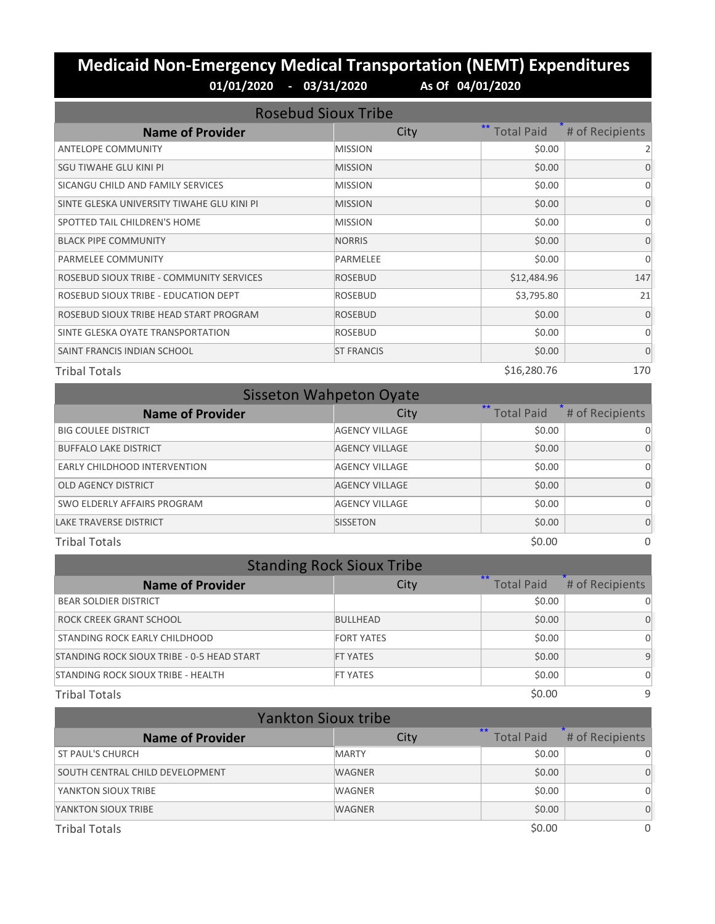# **Medicaid Non-Emergency Medical Transportation (NEMT) Expenditures**<br>01/01/2020 - 03/31/2020 As of 04/01/2020 **01/01/2020 - 03/31/2020 As Of 04/01/2020**

| <b>Rosebud Sioux Tribe</b>                 |                   |                            |                 |
|--------------------------------------------|-------------------|----------------------------|-----------------|
| <b>Name of Provider</b>                    | City              | $***$<br><b>Total Paid</b> | # of Recipients |
| <b>ANTELOPE COMMUNITY</b>                  | <b>MISSION</b>    | \$0.00                     | 2               |
| SGU TIWAHE GLU KINI PI                     | <b>MISSION</b>    | \$0.00                     | 0               |
| SICANGU CHILD AND FAMILY SERVICES          | <b>MISSION</b>    | \$0.00                     | $\Omega$        |
| SINTE GLESKA UNIVERSITY TIWAHE GLU KINI PI | <b>MISSION</b>    | \$0.00                     | 0               |
| SPOTTED TAIL CHILDREN'S HOME               | <b>MISSION</b>    | \$0.00                     | 0               |
| <b>BLACK PIPE COMMUNITY</b>                | <b>NORRIS</b>     | \$0.00                     | $\Omega$        |
| PARMELEE COMMUNITY                         | <b>PARMELEE</b>   | \$0.00                     | $\Omega$        |
| ROSEBUD SIOUX TRIBE - COMMUNITY SERVICES   | <b>ROSEBUD</b>    | \$12,484.96                | 147             |
| ROSEBUD SIOUX TRIBE - EDUCATION DEPT       | <b>ROSEBUD</b>    | \$3,795.80                 | 21              |
| ROSEBUD SIOUX TRIBE HEAD START PROGRAM     | <b>ROSEBUD</b>    | \$0.00                     | $\Omega$        |
| SINTE GLESKA OYATE TRANSPORTATION          | <b>ROSEBUD</b>    | \$0.00                     | $\Omega$        |
| SAINT FRANCIS INDIAN SCHOOL                | <b>ST FRANCIS</b> | \$0.00                     | $\Omega$        |
| <b>Tribal Totals</b>                       |                   | \$16,280.76                | 170             |

| <b>Sisseton Wahpeton Oyate</b> |                       |                           |                 |  |
|--------------------------------|-----------------------|---------------------------|-----------------|--|
| <b>Name of Provider</b>        | City                  | $**$<br><b>Total Paid</b> | # of Recipients |  |
| <b>BIG COULEE DISTRICT</b>     | <b>AGENCY VILLAGE</b> | \$0.00                    |                 |  |
| <b>BUFFALO LAKE DISTRICT</b>   | <b>AGENCY VILLAGE</b> | \$0.00                    | 0               |  |
| EARLY CHILDHOOD INTERVENTION   | <b>AGENCY VILLAGE</b> | \$0.00                    | 0               |  |
| <b>OLD AGENCY DISTRICT</b>     | <b>AGENCY VILLAGE</b> | \$0.00                    | 0               |  |
| SWO ELDERLY AFFAIRS PROGRAM    | <b>AGENCY VILLAGE</b> | \$0.00                    | 0               |  |
| <b>LAKE TRAVERSE DISTRICT</b>  | <b>SISSETON</b>       | \$0.00                    | $\Omega$        |  |
| <b>Tribal Totals</b>           |                       | \$0.00                    | $\Omega$        |  |

| <b>Standing Rock Sioux Tribe</b>           |                   |                            |                 |
|--------------------------------------------|-------------------|----------------------------|-----------------|
| <b>Name of Provider</b>                    | City              | $***$<br><b>Total Paid</b> | # of Recipients |
| <b>BEAR SOLDIER DISTRICT</b>               |                   | \$0.00                     |                 |
| ROCK CREEK GRANT SCHOOL                    | <b>BULLHEAD</b>   | \$0.00                     |                 |
| STANDING ROCK EARLY CHILDHOOD              | <b>FORT YATES</b> | \$0.00                     | $\Omega$        |
| STANDING ROCK SIOUX TRIBE - 0-5 HEAD START | <b>FT YATES</b>   | \$0.00                     | 9               |
| STANDING ROCK SIOUX TRIBE - HEALTH         | <b>FT YATES</b>   | \$0.00                     | $\Omega$        |
| <b>Tribal Totals</b>                       |                   | \$0.00                     | 9               |

| <b>Yankton Sioux tribe</b>      |               |                          |                 |
|---------------------------------|---------------|--------------------------|-----------------|
| <b>Name of Provider</b>         | City          | $*$<br><b>Total Paid</b> | # of Recipients |
| <b>ST PAUL'S CHURCH</b>         | <b>MARTY</b>  | \$0.00                   |                 |
| SOUTH CENTRAL CHILD DEVELOPMENT | <b>WAGNER</b> | \$0.00                   | $\Omega$        |
| YANKTON SIOUX TRIBE             | <b>WAGNER</b> | \$0.00                   | 0               |
| YANKTON SIOUX TRIBE             | <b>WAGNER</b> | \$0.00                   | $\Omega$        |
| <b>Tribal Totals</b>            |               | \$0.00                   | 0               |